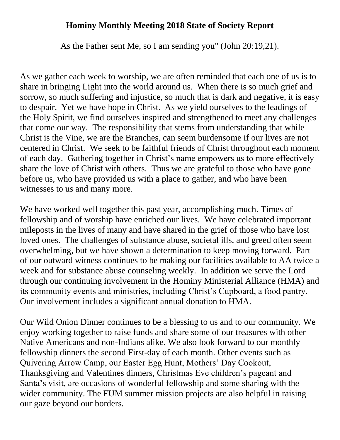## **Hominy Monthly Meeting 2018 State of Society Report**

As the Father sent Me, so I am sending you" (John 20:19,21).

As we gather each week to worship, we are often reminded that each one of us is to share in bringing Light into the world around us. When there is so much grief and sorrow, so much suffering and injustice, so much that is dark and negative, it is easy to despair. Yet we have hope in Christ. As we yield ourselves to the leadings of the Holy Spirit, we find ourselves inspired and strengthened to meet any challenges that come our way. The responsibility that stems from understanding that while Christ is the Vine, we are the Branches, can seem burdensome if our lives are not centered in Christ. We seek to be faithful friends of Christ throughout each moment of each day. Gathering together in Christ's name empowers us to more effectively share the love of Christ with others. Thus we are grateful to those who have gone before us, who have provided us with a place to gather, and who have been witnesses to us and many more.

We have worked well together this past year, accomplishing much. Times of fellowship and of worship have enriched our lives. We have celebrated important mileposts in the lives of many and have shared in the grief of those who have lost loved ones. The challenges of substance abuse, societal ills, and greed often seem overwhelming, but we have shown a determination to keep moving forward. Part of our outward witness continues to be making our facilities available to AA twice a week and for substance abuse counseling weekly. In addition we serve the Lord through our continuing involvement in the Hominy Ministerial Alliance (HMA) and its community events and ministries, including Christ's Cupboard, a food pantry. Our involvement includes a significant annual donation to HMA.

Our Wild Onion Dinner continues to be a blessing to us and to our community. We enjoy working together to raise funds and share some of our treasures with other Native Americans and non-Indians alike. We also look forward to our monthly fellowship dinners the second First-day of each month. Other events such as Quivering Arrow Camp, our Easter Egg Hunt, Mothers' Day Cookout, Thanksgiving and Valentines dinners, Christmas Eve children's pageant and Santa's visit, are occasions of wonderful fellowship and some sharing with the wider community. The FUM summer mission projects are also helpful in raising our gaze beyond our borders.